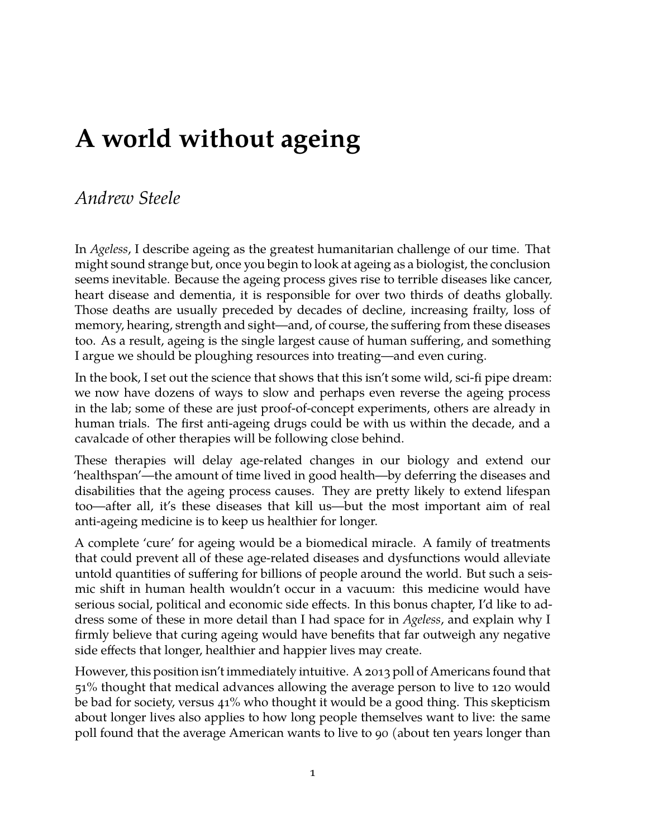## *Andrew Steele*

In *Ageless*, I describe ageing as the greatest humanitarian challenge of our time. That might sound strange but, once you begin to look at ageing as a biologist, the conclusion seems inevitable. Because the ageing process gives rise to terrible diseases like cancer, heart disease and dementia, it is responsible for over two thirds of deaths globally. Those deaths are usually preceded by decades of decline, increasing frailty, loss of memory, hearing, strength and sight—and, of course, the suffering from these diseases too. As a result, ageing is the single largest cause of human suffering, and something I argue we should be ploughing resources into treating—and even curing.

In the book, I set out the science that shows that this isn't some wild, sci-fi pipe dream: we now have dozens of ways to slow and perhaps even reverse the ageing process in the lab; some of these are just proof-of-concept experiments, others are already in human trials. The first anti-ageing drugs could be with us within the decade, and a cavalcade of other therapies will be following close behind.

These therapies will delay age-related changes in our biology and extend our 'healthspan'—the amount of time lived in good health—by deferring the diseases and disabilities that the ageing process causes. They are pretty likely to extend lifespan too—after all, it's these diseases that kill us—but the most important aim of real anti-ageing medicine is to keep us healthier for longer.

A complete 'cure' for ageing would be a biomedical miracle. A family of treatments that could prevent all of these age-related diseases and dysfunctions would alleviate untold quantities of suffering for billions of people around the world. But such a seismic shift in human health wouldn't occur in a vacuum: this medicine would have serious social, political and economic side effects. In this bonus chapter, I'd like to address some of these in more detail than I had space for in *Ageless*, and explain why I firmly believe that curing ageing would have benefits that far outweigh any negative side effects that longer, healthier and happier lives may create.

However, this position isn't immediately intuitive. A 2013 poll of Americans found that 51% thought that medical advances allowing the average person to live to 120 would be bad for society, versus 41% who thought it would be a good thing. This skepticism about longer lives also applies to how long people themselves want to live: the same poll found that the average American wants to live to 90 (about ten years longer than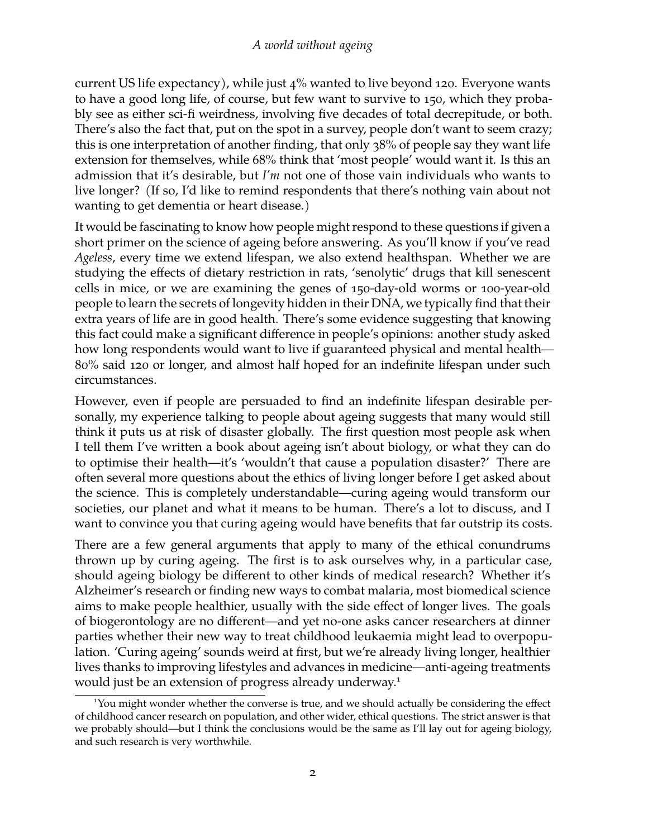current US life expectancy), while just 4% wanted to live beyond 120. Everyone wants to have a good long life, of course, but few want to survive to 150, which they probably see as either sci-fi weirdness, involving five decades of total decrepitude, or both. There's also the fact that, put on the spot in a survey, people don't want to seem crazy; this is one interpretation of another finding, that only 38% of people say they want life extension for themselves, while 68% think that 'most people' would want it. Is this an admission that it's desirable, but *I'm* not one of those vain individuals who wants to live longer? (If so, I'd like to remind respondents that there's nothing vain about not wanting to get dementia or heart disease.)

It would be fascinating to know how people might respond to these questions if given a short primer on the science of ageing before answering. As you'll know if you've read *Ageless*, every time we extend lifespan, we also extend healthspan. Whether we are studying the effects of dietary restriction in rats, 'senolytic' drugs that kill senescent cells in mice, or we are examining the genes of 150-day-old worms or 100-year-old people to learn the secrets of longevity hidden in their DNA, we typically find that their extra years of life are in good health. There's some evidence suggesting that knowing this fact could make a significant difference in people's opinions: another study asked how long respondents would want to live if guaranteed physical and mental health— 80% said 120 or longer, and almost half hoped for an indefinite lifespan under such circumstances.

However, even if people are persuaded to find an indefinite lifespan desirable personally, my experience talking to people about ageing suggests that many would still think it puts us at risk of disaster globally. The first question most people ask when I tell them I've written a book about ageing isn't about biology, or what they can do to optimise their health—it's 'wouldn't that cause a population disaster?' There are often several more questions about the ethics of living longer before I get asked about the science. This is completely understandable—curing ageing would transform our societies, our planet and what it means to be human. There's a lot to discuss, and I want to convince you that curing ageing would have benefits that far outstrip its costs.

There are a few general arguments that apply to many of the ethical conundrums thrown up by curing ageing. The first is to ask ourselves why, in a particular case, should ageing biology be different to other kinds of medical research? Whether it's Alzheimer's research or finding new ways to combat malaria, most biomedical science aims to make people healthier, usually with the side effect of longer lives. The goals of biogerontology are no different—and yet no-one asks cancer researchers at dinner parties whether their new way to treat childhood leukaemia might lead to overpopulation. 'Curing ageing' sounds weird at first, but we're already living longer, healthier lives thanks to improving lifestyles and advances in medicine—anti-ageing treatments would just be an extension of progress already underway.<sup>[1](#page-1-0)</sup>

<span id="page-1-0"></span><sup>1</sup>You might wonder whether the converse is true, and we should actually be considering the effect of childhood cancer research on population, and other wider, ethical questions. The strict answer is that we probably should—but I think the conclusions would be the same as I'll lay out for ageing biology, and such research is very worthwhile.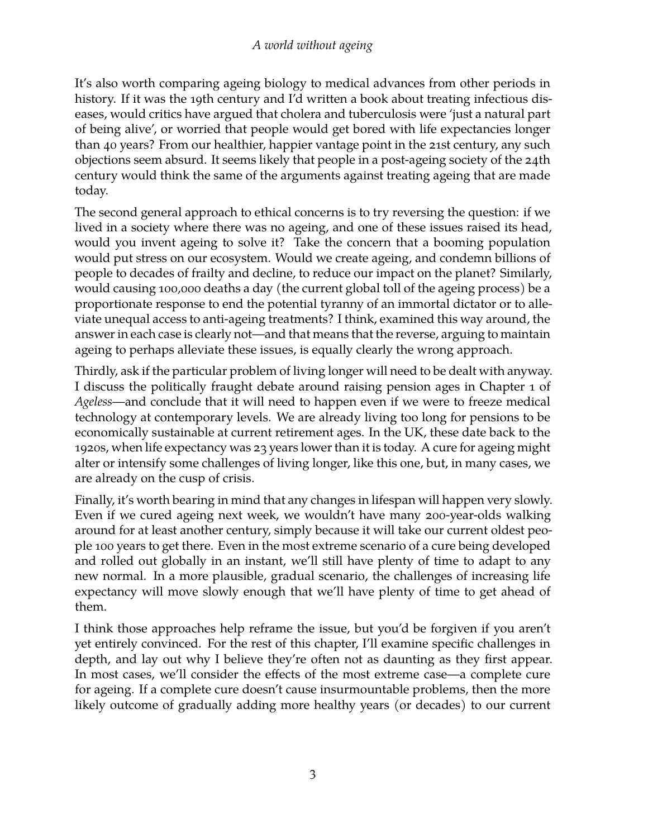It's also worth comparing ageing biology to medical advances from other periods in history. If it was the 19th century and I'd written a book about treating infectious diseases, would critics have argued that cholera and tuberculosis were 'just a natural part of being alive', or worried that people would get bored with life expectancies longer than 40 years? From our healthier, happier vantage point in the 21st century, any such objections seem absurd. It seems likely that people in a post-ageing society of the 24th century would think the same of the arguments against treating ageing that are made today.

The second general approach to ethical concerns is to try reversing the question: if we lived in a society where there was no ageing, and one of these issues raised its head, would you invent ageing to solve it? Take the concern that a booming population would put stress on our ecosystem. Would we create ageing, and condemn billions of people to decades of frailty and decline, to reduce our impact on the planet? Similarly, would causing 100,000 deaths a day (the current global toll of the ageing process) be a proportionate response to end the potential tyranny of an immortal dictator or to alleviate unequal access to anti-ageing treatments? I think, examined this way around, the answer in each case is clearly not—and that means that the reverse, arguing to maintain ageing to perhaps alleviate these issues, is equally clearly the wrong approach.

Thirdly, ask if the particular problem of living longer will need to be dealt with anyway. I discuss the politically fraught debate around raising pension ages in Chapter 1 of *Ageless*—and conclude that it will need to happen even if we were to freeze medical technology at contemporary levels. We are already living too long for pensions to be economically sustainable at current retirement ages. In the UK, these date back to the 1920s, when life expectancy was 23 years lower than it is today. A cure for ageing might alter or intensify some challenges of living longer, like this one, but, in many cases, we are already on the cusp of crisis.

Finally, it's worth bearing in mind that any changes in lifespan will happen very slowly. Even if we cured ageing next week, we wouldn't have many 200-year-olds walking around for at least another century, simply because it will take our current oldest people 100 years to get there. Even in the most extreme scenario of a cure being developed and rolled out globally in an instant, we'll still have plenty of time to adapt to any new normal. In a more plausible, gradual scenario, the challenges of increasing life expectancy will move slowly enough that we'll have plenty of time to get ahead of them.

I think those approaches help reframe the issue, but you'd be forgiven if you aren't yet entirely convinced. For the rest of this chapter, I'll examine specific challenges in depth, and lay out why I believe they're often not as daunting as they first appear. In most cases, we'll consider the effects of the most extreme case—a complete cure for ageing. If a complete cure doesn't cause insurmountable problems, then the more likely outcome of gradually adding more healthy years (or decades) to our current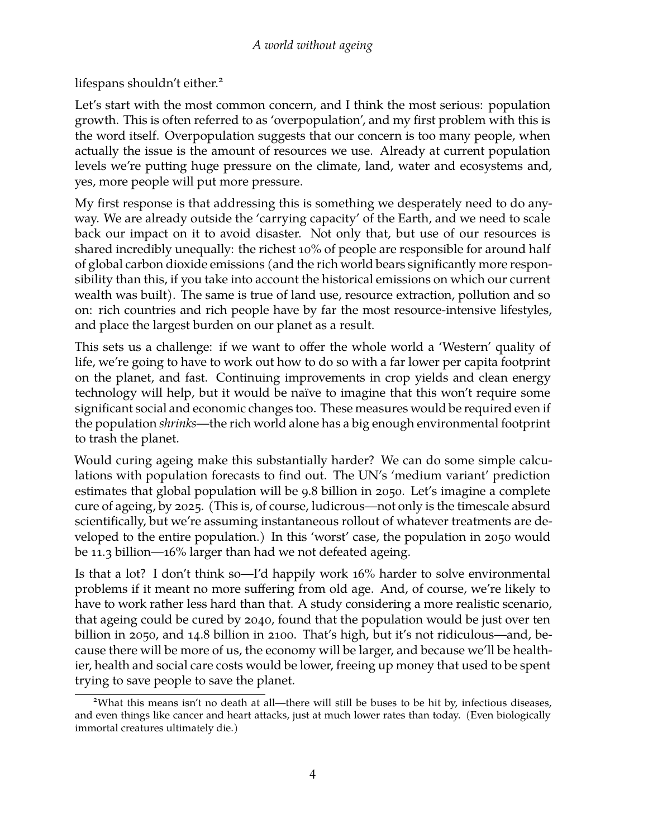lifespans shouldn't either.<sup>[2](#page-3-0)</sup>

Let's start with the most common concern, and I think the most serious: population growth. This is often referred to as 'overpopulation', and my first problem with this is the word itself. Overpopulation suggests that our concern is too many people, when actually the issue is the amount of resources we use. Already at current population levels we're putting huge pressure on the climate, land, water and ecosystems and, yes, more people will put more pressure.

My first response is that addressing this is something we desperately need to do anyway. We are already outside the 'carrying capacity' of the Earth, and we need to scale back our impact on it to avoid disaster. Not only that, but use of our resources is shared incredibly unequally: the richest 10% of people are responsible for around half of global carbon dioxide emissions (and the rich world bears significantly more responsibility than this, if you take into account the historical emissions on which our current wealth was built). The same is true of land use, resource extraction, pollution and so on: rich countries and rich people have by far the most resource-intensive lifestyles, and place the largest burden on our planet as a result.

This sets us a challenge: if we want to offer the whole world a 'Western' quality of life, we're going to have to work out how to do so with a far lower per capita footprint on the planet, and fast. Continuing improvements in crop yields and clean energy technology will help, but it would be naïve to imagine that this won't require some significant social and economic changes too. These measures would be required even if the population *shrinks*—the rich world alone has a big enough environmental footprint to trash the planet.

Would curing ageing make this substantially harder? We can do some simple calculations with population forecasts to find out. The UN's 'medium variant' prediction estimates that global population will be 9.8 billion in 2050. Let's imagine a complete cure of ageing, by 2025. (This is, of course, ludicrous—not only is the timescale absurd scientifically, but we're assuming instantaneous rollout of whatever treatments are developed to the entire population.) In this 'worst' case, the population in 2050 would be 11.3 billion—16% larger than had we not defeated ageing.

Is that a lot? I don't think so—I'd happily work 16% harder to solve environmental problems if it meant no more suffering from old age. And, of course, we're likely to have to work rather less hard than that. A study considering a more realistic scenario, that ageing could be cured by 2040, found that the population would be just over ten billion in 2050, and 14.8 billion in 2100. That's high, but it's not ridiculous—and, because there will be more of us, the economy will be larger, and because we'll be healthier, health and social care costs would be lower, freeing up money that used to be spent trying to save people to save the planet.

<span id="page-3-0"></span><sup>2</sup>What this means isn't no death at all—there will still be buses to be hit by, infectious diseases, and even things like cancer and heart attacks, just at much lower rates than today. (Even biologically immortal creatures ultimately die.)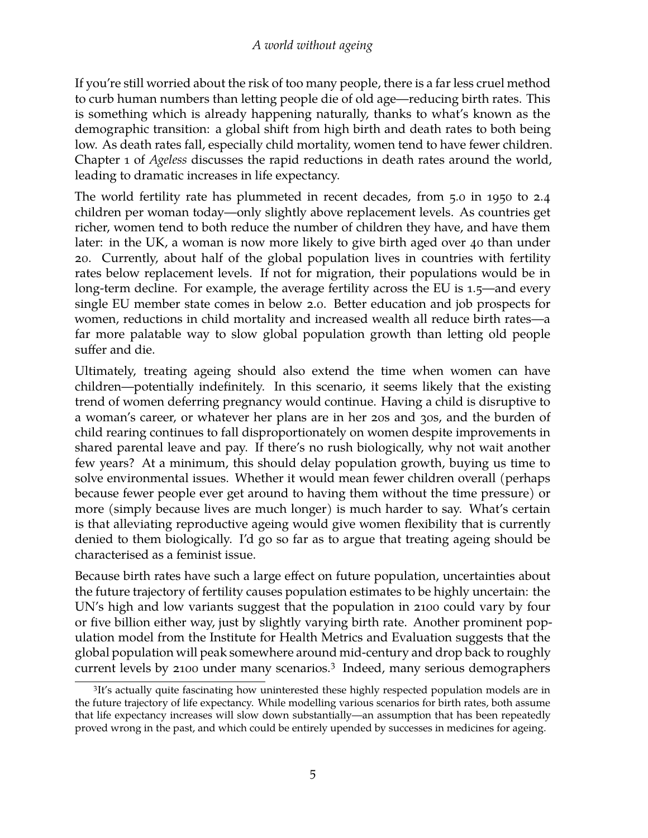If you're still worried about the risk of too many people, there is a far less cruel method to curb human numbers than letting people die of old age—reducing birth rates. This is something which is already happening naturally, thanks to what's known as the demographic transition: a global shift from high birth and death rates to both being low. As death rates fall, especially child mortality, women tend to have fewer children. Chapter 1 of *Ageless* discusses the rapid reductions in death rates around the world, leading to dramatic increases in life expectancy.

The world fertility rate has plummeted in recent decades, from 5.0 in 1950 to 2.4 children per woman today—only slightly above replacement levels. As countries get richer, women tend to both reduce the number of children they have, and have them later: in the UK, a woman is now more likely to give birth aged over 40 than under 20. Currently, about half of the global population lives in countries with fertility rates below replacement levels. If not for migration, their populations would be in long-term decline. For example, the average fertility across the EU is 1.5—and every single EU member state comes in below 2.0. Better education and job prospects for women, reductions in child mortality and increased wealth all reduce birth rates—a far more palatable way to slow global population growth than letting old people suffer and die.

Ultimately, treating ageing should also extend the time when women can have children—potentially indefinitely. In this scenario, it seems likely that the existing trend of women deferring pregnancy would continue. Having a child is disruptive to a woman's career, or whatever her plans are in her 20s and 30s, and the burden of child rearing continues to fall disproportionately on women despite improvements in shared parental leave and pay. If there's no rush biologically, why not wait another few years? At a minimum, this should delay population growth, buying us time to solve environmental issues. Whether it would mean fewer children overall (perhaps because fewer people ever get around to having them without the time pressure) or more (simply because lives are much longer) is much harder to say. What's certain is that alleviating reproductive ageing would give women flexibility that is currently denied to them biologically. I'd go so far as to argue that treating ageing should be characterised as a feminist issue.

Because birth rates have such a large effect on future population, uncertainties about the future trajectory of fertility causes population estimates to be highly uncertain: the UN's high and low variants suggest that the population in 2100 could vary by four or five billion either way, just by slightly varying birth rate. Another prominent population model from the Institute for Health Metrics and Evaluation suggests that the global population will peak somewhere around mid-century and drop back to roughly current levels by 2100 under many scenarios.<sup>[3](#page-4-0)</sup> Indeed, many serious demographers

<span id="page-4-0"></span><sup>&</sup>lt;sup>3</sup>It's actually quite fascinating how uninterested these highly respected population models are in the future trajectory of life expectancy. While modelling various scenarios for birth rates, both assume that life expectancy increases will slow down substantially—an assumption that has been repeatedly proved wrong in the past, and which could be entirely upended by successes in medicines for ageing.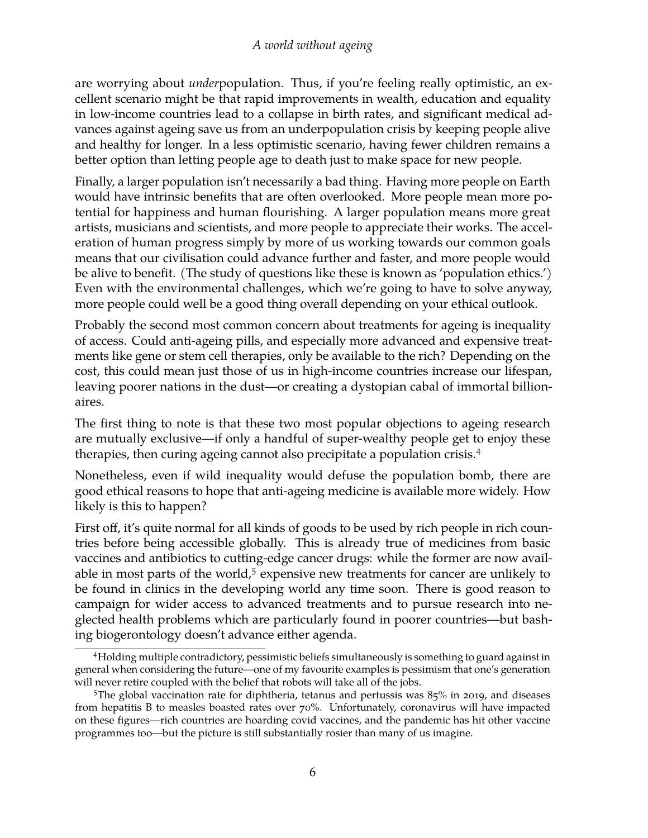are worrying about *under*population. Thus, if you're feeling really optimistic, an excellent scenario might be that rapid improvements in wealth, education and equality in low-income countries lead to a collapse in birth rates, and significant medical advances against ageing save us from an underpopulation crisis by keeping people alive and healthy for longer. In a less optimistic scenario, having fewer children remains a better option than letting people age to death just to make space for new people.

Finally, a larger population isn't necessarily a bad thing. Having more people on Earth would have intrinsic benefits that are often overlooked. More people mean more potential for happiness and human flourishing. A larger population means more great artists, musicians and scientists, and more people to appreciate their works. The acceleration of human progress simply by more of us working towards our common goals means that our civilisation could advance further and faster, and more people would be alive to benefit. (The study of questions like these is known as 'population ethics.') Even with the environmental challenges, which we're going to have to solve anyway, more people could well be a good thing overall depending on your ethical outlook.

Probably the second most common concern about treatments for ageing is inequality of access. Could anti-ageing pills, and especially more advanced and expensive treatments like gene or stem cell therapies, only be available to the rich? Depending on the cost, this could mean just those of us in high-income countries increase our lifespan, leaving poorer nations in the dust—or creating a dystopian cabal of immortal billionaires.

The first thing to note is that these two most popular objections to ageing research are mutually exclusive—if only a handful of super-wealthy people get to enjoy these therapies, then curing ageing cannot also precipitate a population crisis.[4](#page-5-0)

Nonetheless, even if wild inequality would defuse the population bomb, there are good ethical reasons to hope that anti-ageing medicine is available more widely. How likely is this to happen?

First off, it's quite normal for all kinds of goods to be used by rich people in rich countries before being accessible globally. This is already true of medicines from basic vaccines and antibiotics to cutting-edge cancer drugs: while the former are now avail-able in most parts of the world,<sup>[5](#page-5-1)</sup> expensive new treatments for cancer are unlikely to be found in clinics in the developing world any time soon. There is good reason to campaign for wider access to advanced treatments and to pursue research into neglected health problems which are particularly found in poorer countries—but bashing biogerontology doesn't advance either agenda.

<span id="page-5-0"></span><sup>4</sup>Holding multiple contradictory, pessimistic beliefs simultaneously is something to guard against in general when considering the future—one of my favourite examples is pessimism that one's generation will never retire coupled with the belief that robots will take all of the jobs.

<span id="page-5-1"></span><sup>&</sup>lt;sup>5</sup>The global vaccination rate for diphtheria, tetanus and pertussis was 85% in 2019, and diseases from hepatitis B to measles boasted rates over 70%. Unfortunately, coronavirus will have impacted on these figures—rich countries are hoarding covid vaccines, and the pandemic has hit other vaccine programmes too—but the picture is still substantially rosier than many of us imagine.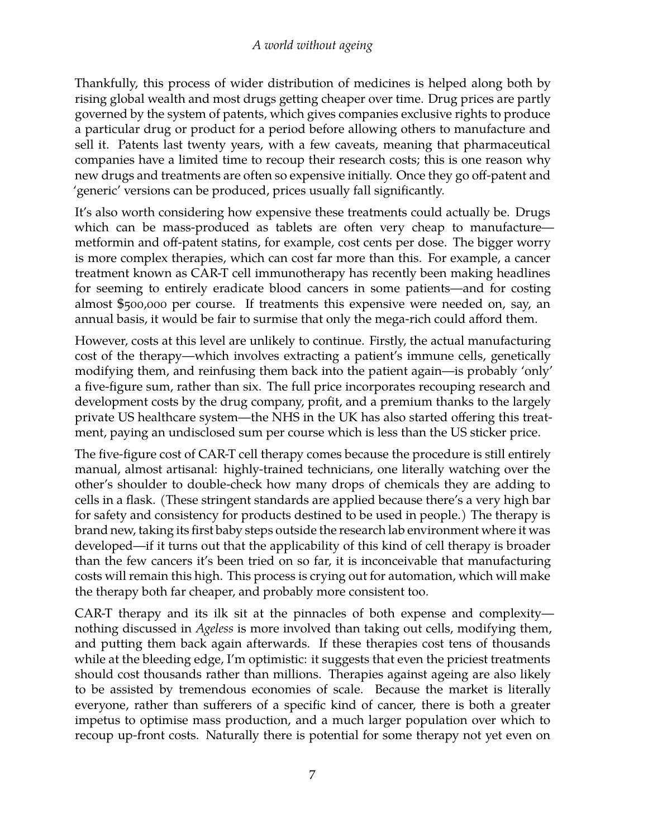Thankfully, this process of wider distribution of medicines is helped along both by rising global wealth and most drugs getting cheaper over time. Drug prices are partly governed by the system of patents, which gives companies exclusive rights to produce a particular drug or product for a period before allowing others to manufacture and sell it. Patents last twenty years, with a few caveats, meaning that pharmaceutical companies have a limited time to recoup their research costs; this is one reason why new drugs and treatments are often so expensive initially. Once they go off-patent and 'generic' versions can be produced, prices usually fall significantly.

It's also worth considering how expensive these treatments could actually be. Drugs which can be mass-produced as tablets are often very cheap to manufacture metformin and off-patent statins, for example, cost cents per dose. The bigger worry is more complex therapies, which can cost far more than this. For example, a cancer treatment known as CAR-T cell immunotherapy has recently been making headlines for seeming to entirely eradicate blood cancers in some patients—and for costing almost \$500,000 per course. If treatments this expensive were needed on, say, an annual basis, it would be fair to surmise that only the mega-rich could afford them.

However, costs at this level are unlikely to continue. Firstly, the actual manufacturing cost of the therapy—which involves extracting a patient's immune cells, genetically modifying them, and reinfusing them back into the patient again—is probably 'only' a five-figure sum, rather than six. The full price incorporates recouping research and development costs by the drug company, profit, and a premium thanks to the largely private US healthcare system—the NHS in the UK has also started offering this treatment, paying an undisclosed sum per course which is less than the US sticker price.

The five-figure cost of CAR-T cell therapy comes because the procedure is still entirely manual, almost artisanal: highly-trained technicians, one literally watching over the other's shoulder to double-check how many drops of chemicals they are adding to cells in a flask. (These stringent standards are applied because there's a very high bar for safety and consistency for products destined to be used in people.) The therapy is brand new, taking its first baby steps outside the research lab environment where it was developed—if it turns out that the applicability of this kind of cell therapy is broader than the few cancers it's been tried on so far, it is inconceivable that manufacturing costs will remain this high. This process is crying out for automation, which will make the therapy both far cheaper, and probably more consistent too.

CAR-T therapy and its ilk sit at the pinnacles of both expense and complexity nothing discussed in *Ageless* is more involved than taking out cells, modifying them, and putting them back again afterwards. If these therapies cost tens of thousands while at the bleeding edge, I'm optimistic: it suggests that even the priciest treatments should cost thousands rather than millions. Therapies against ageing are also likely to be assisted by tremendous economies of scale. Because the market is literally everyone, rather than sufferers of a specific kind of cancer, there is both a greater impetus to optimise mass production, and a much larger population over which to recoup up-front costs. Naturally there is potential for some therapy not yet even on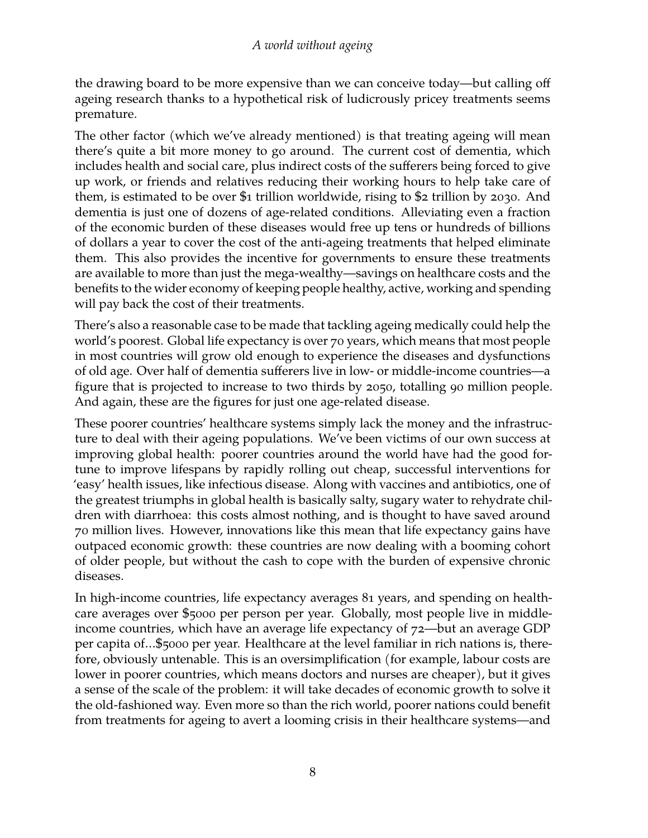the drawing board to be more expensive than we can conceive today—but calling off ageing research thanks to a hypothetical risk of ludicrously pricey treatments seems premature.

The other factor (which we've already mentioned) is that treating ageing will mean there's quite a bit more money to go around. The current cost of dementia, which includes health and social care, plus indirect costs of the sufferers being forced to give up work, or friends and relatives reducing their working hours to help take care of them, is estimated to be over \$1 trillion worldwide, rising to \$2 trillion by 2030. And dementia is just one of dozens of age-related conditions. Alleviating even a fraction of the economic burden of these diseases would free up tens or hundreds of billions of dollars a year to cover the cost of the anti-ageing treatments that helped eliminate them. This also provides the incentive for governments to ensure these treatments are available to more than just the mega-wealthy—savings on healthcare costs and the benefits to the wider economy of keeping people healthy, active, working and spending will pay back the cost of their treatments.

There's also a reasonable case to be made that tackling ageing medically could help the world's poorest. Global life expectancy is over 70 years, which means that most people in most countries will grow old enough to experience the diseases and dysfunctions of old age. Over half of dementia sufferers live in low- or middle-income countries—a figure that is projected to increase to two thirds by 2050, totalling 90 million people. And again, these are the figures for just one age-related disease.

These poorer countries' healthcare systems simply lack the money and the infrastructure to deal with their ageing populations. We've been victims of our own success at improving global health: poorer countries around the world have had the good fortune to improve lifespans by rapidly rolling out cheap, successful interventions for 'easy' health issues, like infectious disease. Along with vaccines and antibiotics, one of the greatest triumphs in global health is basically salty, sugary water to rehydrate children with diarrhoea: this costs almost nothing, and is thought to have saved around 70 million lives. However, innovations like this mean that life expectancy gains have outpaced economic growth: these countries are now dealing with a booming cohort of older people, but without the cash to cope with the burden of expensive chronic diseases.

In high-income countries, life expectancy averages 81 years, and spending on healthcare averages over \$5000 per person per year. Globally, most people live in middleincome countries, which have an average life expectancy of 72—but an average GDP per capita of…\$5000 per year. Healthcare at the level familiar in rich nations is, therefore, obviously untenable. This is an oversimplification (for example, labour costs are lower in poorer countries, which means doctors and nurses are cheaper), but it gives a sense of the scale of the problem: it will take decades of economic growth to solve it the old-fashioned way. Even more so than the rich world, poorer nations could benefit from treatments for ageing to avert a looming crisis in their healthcare systems—and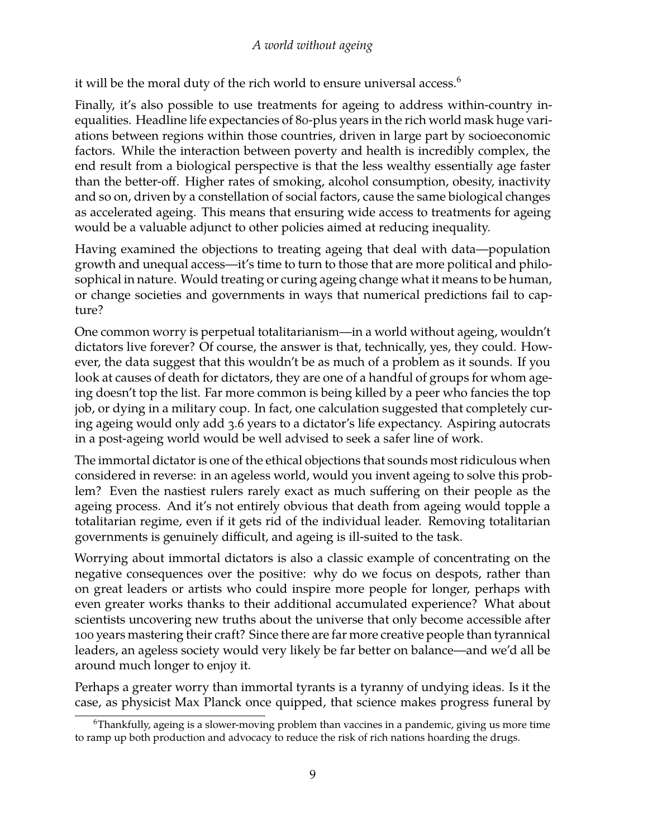it will be the moral duty of the rich world to ensure universal access.<sup>[6](#page-8-0)</sup>

Finally, it's also possible to use treatments for ageing to address within-country inequalities. Headline life expectancies of 80-plus years in the rich world mask huge variations between regions within those countries, driven in large part by socioeconomic factors. While the interaction between poverty and health is incredibly complex, the end result from a biological perspective is that the less wealthy essentially age faster than the better-off. Higher rates of smoking, alcohol consumption, obesity, inactivity and so on, driven by a constellation of social factors, cause the same biological changes as accelerated ageing. This means that ensuring wide access to treatments for ageing would be a valuable adjunct to other policies aimed at reducing inequality.

Having examined the objections to treating ageing that deal with data—population growth and unequal access—it's time to turn to those that are more political and philosophical in nature. Would treating or curing ageing change what it means to be human, or change societies and governments in ways that numerical predictions fail to capture?

One common worry is perpetual totalitarianism—in a world without ageing, wouldn't dictators live forever? Of course, the answer is that, technically, yes, they could. However, the data suggest that this wouldn't be as much of a problem as it sounds. If you look at causes of death for dictators, they are one of a handful of groups for whom ageing doesn't top the list. Far more common is being killed by a peer who fancies the top job, or dying in a military coup. In fact, one calculation suggested that completely curing ageing would only add 3.6 years to a dictator's life expectancy. Aspiring autocrats in a post-ageing world would be well advised to seek a safer line of work.

The immortal dictator is one of the ethical objections that sounds most ridiculous when considered in reverse: in an ageless world, would you invent ageing to solve this problem? Even the nastiest rulers rarely exact as much suffering on their people as the ageing process. And it's not entirely obvious that death from ageing would topple a totalitarian regime, even if it gets rid of the individual leader. Removing totalitarian governments is genuinely difficult, and ageing is ill-suited to the task.

Worrying about immortal dictators is also a classic example of concentrating on the negative consequences over the positive: why do we focus on despots, rather than on great leaders or artists who could inspire more people for longer, perhaps with even greater works thanks to their additional accumulated experience? What about scientists uncovering new truths about the universe that only become accessible after 100 years mastering their craft? Since there are far more creative people than tyrannical leaders, an ageless society would very likely be far better on balance—and we'd all be around much longer to enjoy it.

Perhaps a greater worry than immortal tyrants is a tyranny of undying ideas. Is it the case, as physicist Max Planck once quipped, that science makes progress funeral by

<span id="page-8-0"></span> $6$ Thankfully, ageing is a slower-moving problem than vaccines in a pandemic, giving us more time to ramp up both production and advocacy to reduce the risk of rich nations hoarding the drugs.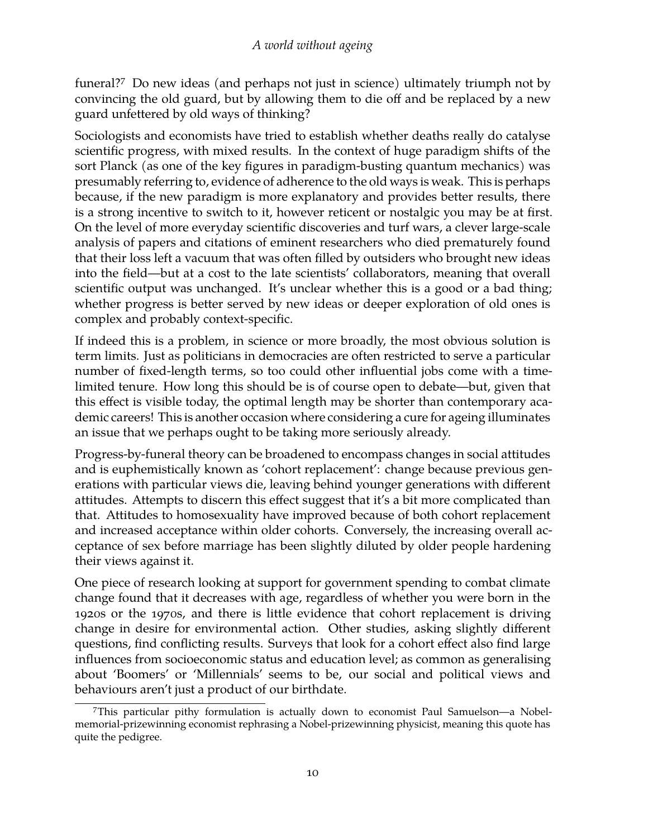funeral?[7](#page-9-0) Do new ideas (and perhaps not just in science) ultimately triumph not by convincing the old guard, but by allowing them to die off and be replaced by a new guard unfettered by old ways of thinking?

Sociologists and economists have tried to establish whether deaths really do catalyse scientific progress, with mixed results. In the context of huge paradigm shifts of the sort Planck (as one of the key figures in paradigm-busting quantum mechanics) was presumably referring to, evidence of adherence to the old ways is weak. This is perhaps because, if the new paradigm is more explanatory and provides better results, there is a strong incentive to switch to it, however reticent or nostalgic you may be at first. On the level of more everyday scientific discoveries and turf wars, a clever large-scale analysis of papers and citations of eminent researchers who died prematurely found that their loss left a vacuum that was often filled by outsiders who brought new ideas into the field—but at a cost to the late scientists' collaborators, meaning that overall scientific output was unchanged. It's unclear whether this is a good or a bad thing; whether progress is better served by new ideas or deeper exploration of old ones is complex and probably context-specific.

If indeed this is a problem, in science or more broadly, the most obvious solution is term limits. Just as politicians in democracies are often restricted to serve a particular number of fixed-length terms, so too could other influential jobs come with a timelimited tenure. How long this should be is of course open to debate—but, given that this effect is visible today, the optimal length may be shorter than contemporary academic careers! This is another occasion where considering a cure for ageing illuminates an issue that we perhaps ought to be taking more seriously already.

Progress-by-funeral theory can be broadened to encompass changes in social attitudes and is euphemistically known as 'cohort replacement': change because previous generations with particular views die, leaving behind younger generations with different attitudes. Attempts to discern this effect suggest that it's a bit more complicated than that. Attitudes to homosexuality have improved because of both cohort replacement and increased acceptance within older cohorts. Conversely, the increasing overall acceptance of sex before marriage has been slightly diluted by older people hardening their views against it.

One piece of research looking at support for government spending to combat climate change found that it decreases with age, regardless of whether you were born in the 1920s or the 1970s, and there is little evidence that cohort replacement is driving change in desire for environmental action. Other studies, asking slightly different questions, find conflicting results. Surveys that look for a cohort effect also find large influences from socioeconomic status and education level; as common as generalising about 'Boomers' or 'Millennials' seems to be, our social and political views and behaviours aren't just a product of our birthdate.

<span id="page-9-0"></span><sup>7</sup>This particular pithy formulation is actually down to economist Paul Samuelson—a Nobelmemorial-prizewinning economist rephrasing a Nobel-prizewinning physicist, meaning this quote has quite the pedigree.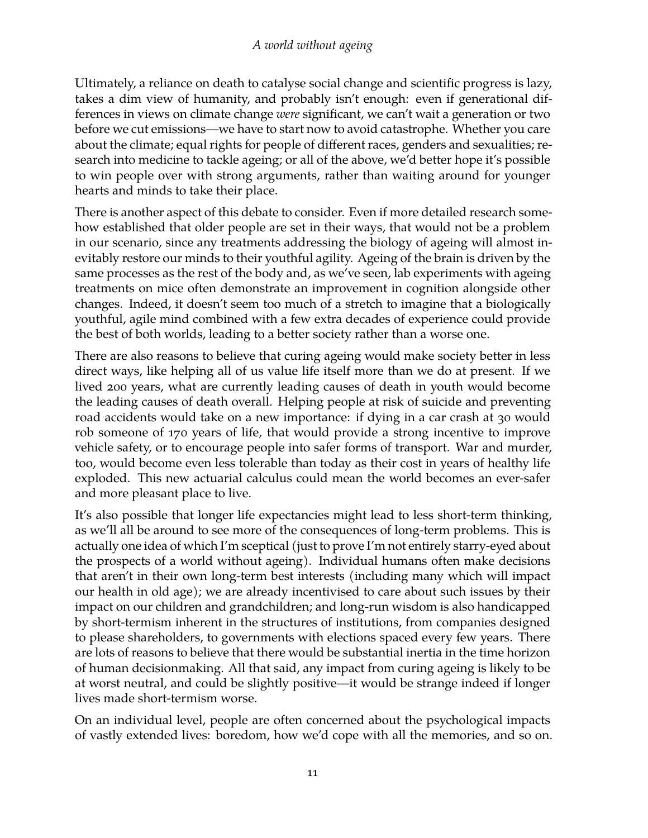Ultimately, a reliance on death to catalyse social change and scientific progress is lazy, takes a dim view of humanity, and probably isn't enough: even if generational differences in views on climate change *were* significant, we can't wait a generation or two before we cut emissions—we have to start now to avoid catastrophe. Whether you care about the climate; equal rights for people of different races, genders and sexualities; research into medicine to tackle ageing; or all of the above, we'd better hope it's possible to win people over with strong arguments, rather than waiting around for younger hearts and minds to take their place.

There is another aspect of this debate to consider. Even if more detailed research somehow established that older people are set in their ways, that would not be a problem in our scenario, since any treatments addressing the biology of ageing will almost inevitably restore our minds to their youthful agility. Ageing of the brain is driven by the same processes as the rest of the body and, as we've seen, lab experiments with ageing treatments on mice often demonstrate an improvement in cognition alongside other changes. Indeed, it doesn't seem too much of a stretch to imagine that a biologically youthful, agile mind combined with a few extra decades of experience could provide the best of both worlds, leading to a better society rather than a worse one.

There are also reasons to believe that curing ageing would make society better in less direct ways, like helping all of us value life itself more than we do at present. If we lived 200 years, what are currently leading causes of death in youth would become the leading causes of death overall. Helping people at risk of suicide and preventing road accidents would take on a new importance: if dying in a car crash at 30 would rob someone of 170 years of life, that would provide a strong incentive to improve vehicle safety, or to encourage people into safer forms of transport. War and murder, too, would become even less tolerable than today as their cost in years of healthy life exploded. This new actuarial calculus could mean the world becomes an ever-safer and more pleasant place to live.

It's also possible that longer life expectancies might lead to less short-term thinking, as we'll all be around to see more of the consequences of long-term problems. This is actually one idea of which I'm sceptical (just to prove I'm not entirely starry-eyed about the prospects of a world without ageing). Individual humans often make decisions that aren't in their own long-term best interests (including many which will impact our health in old age); we are already incentivised to care about such issues by their impact on our children and grandchildren; and long-run wisdom is also handicapped by short-termism inherent in the structures of institutions, from companies designed to please shareholders, to governments with elections spaced every few years. There are lots of reasons to believe that there would be substantial inertia in the time horizon of human decisionmaking. All that said, any impact from curing ageing is likely to be at worst neutral, and could be slightly positive—it would be strange indeed if longer lives made short-termism worse.

On an individual level, people are often concerned about the psychological impacts of vastly extended lives: boredom, how we'd cope with all the memories, and so on.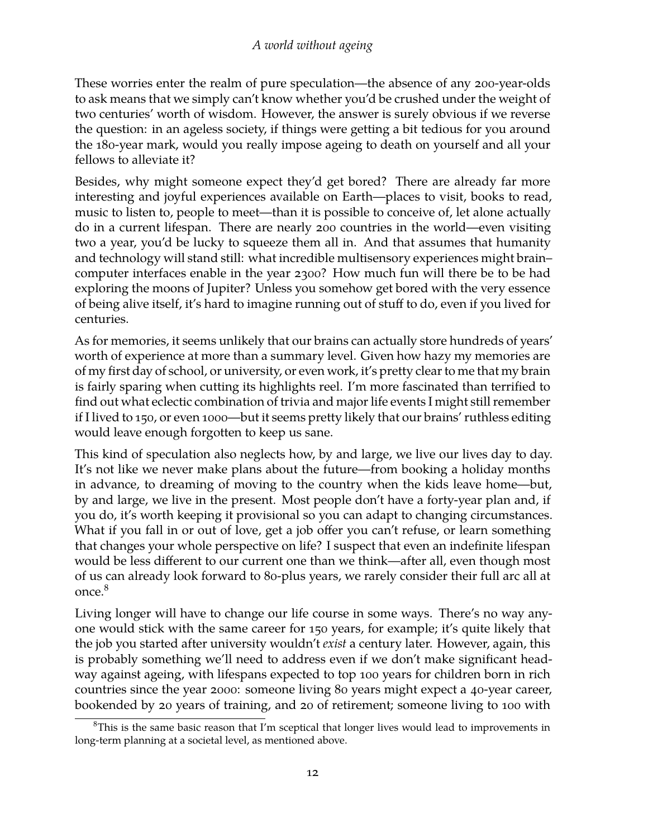These worries enter the realm of pure speculation—the absence of any 200-year-olds to ask means that we simply can't know whether you'd be crushed under the weight of two centuries' worth of wisdom. However, the answer is surely obvious if we reverse the question: in an ageless society, if things were getting a bit tedious for you around the 180-year mark, would you really impose ageing to death on yourself and all your fellows to alleviate it?

Besides, why might someone expect they'd get bored? There are already far more interesting and joyful experiences available on Earth—places to visit, books to read, music to listen to, people to meet—than it is possible to conceive of, let alone actually do in a current lifespan. There are nearly 200 countries in the world—even visiting two a year, you'd be lucky to squeeze them all in. And that assumes that humanity and technology will stand still: what incredible multisensory experiences might brain– computer interfaces enable in the year 2300? How much fun will there be to be had exploring the moons of Jupiter? Unless you somehow get bored with the very essence of being alive itself, it's hard to imagine running out of stuff to do, even if you lived for centuries.

As for memories, it seems unlikely that our brains can actually store hundreds of years' worth of experience at more than a summary level. Given how hazy my memories are of my first day of school, or university, or even work, it's pretty clear to me that my brain is fairly sparing when cutting its highlights reel. I'm more fascinated than terrified to find out what eclectic combination of trivia and major life events I might still remember if I lived to 150, or even 1000—but it seems pretty likely that our brains' ruthless editing would leave enough forgotten to keep us sane.

This kind of speculation also neglects how, by and large, we live our lives day to day. It's not like we never make plans about the future—from booking a holiday months in advance, to dreaming of moving to the country when the kids leave home—but, by and large, we live in the present. Most people don't have a forty-year plan and, if you do, it's worth keeping it provisional so you can adapt to changing circumstances. What if you fall in or out of love, get a job offer you can't refuse, or learn something that changes your whole perspective on life? I suspect that even an indefinite lifespan would be less different to our current one than we think—after all, even though most of us can already look forward to 80-plus years, we rarely consider their full arc all at once.<sup>[8](#page-11-0)</sup>

Living longer will have to change our life course in some ways. There's no way anyone would stick with the same career for 150 years, for example; it's quite likely that the job you started after university wouldn't *exist* a century later. However, again, this is probably something we'll need to address even if we don't make significant headway against ageing, with lifespans expected to top 100 years for children born in rich countries since the year 2000: someone living 80 years might expect a 40-year career, bookended by 20 years of training, and 20 of retirement; someone living to 100 with

<span id="page-11-0"></span> $8$ This is the same basic reason that I'm sceptical that longer lives would lead to improvements in long-term planning at a societal level, as mentioned above.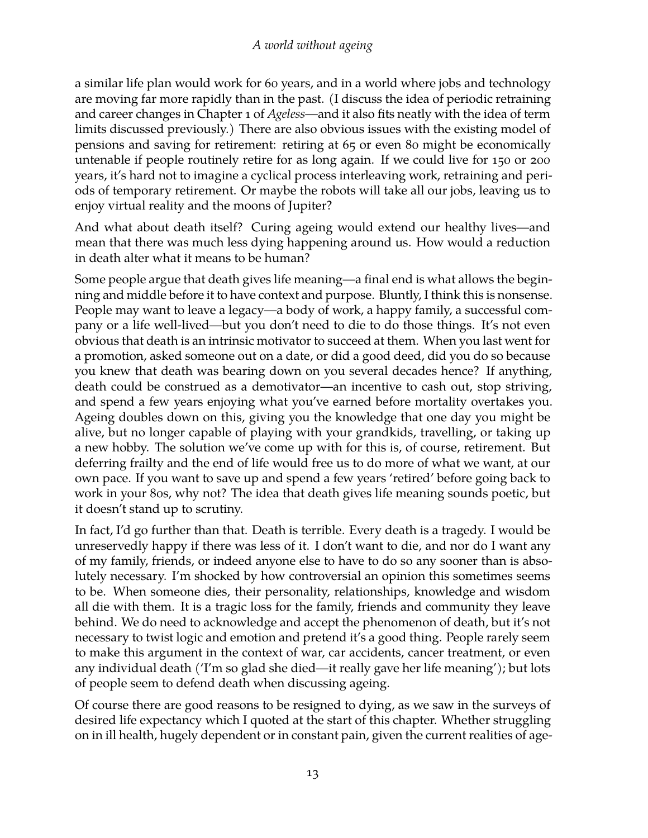a similar life plan would work for 60 years, and in a world where jobs and technology are moving far more rapidly than in the past. (I discuss the idea of periodic retraining and career changes in Chapter 1 of *Ageless*—and it also fits neatly with the idea of term limits discussed previously.) There are also obvious issues with the existing model of pensions and saving for retirement: retiring at 65 or even 80 might be economically untenable if people routinely retire for as long again. If we could live for 150 or 200 years, it's hard not to imagine a cyclical process interleaving work, retraining and periods of temporary retirement. Or maybe the robots will take all our jobs, leaving us to enjoy virtual reality and the moons of Jupiter?

And what about death itself? Curing ageing would extend our healthy lives—and mean that there was much less dying happening around us. How would a reduction in death alter what it means to be human?

Some people argue that death gives life meaning—a final end is what allows the beginning and middle before it to have context and purpose. Bluntly, I think this is nonsense. People may want to leave a legacy—a body of work, a happy family, a successful company or a life well-lived—but you don't need to die to do those things. It's not even obvious that death is an intrinsic motivator to succeed at them. When you last went for a promotion, asked someone out on a date, or did a good deed, did you do so because you knew that death was bearing down on you several decades hence? If anything, death could be construed as a demotivator—an incentive to cash out, stop striving, and spend a few years enjoying what you've earned before mortality overtakes you. Ageing doubles down on this, giving you the knowledge that one day you might be alive, but no longer capable of playing with your grandkids, travelling, or taking up a new hobby. The solution we've come up with for this is, of course, retirement. But deferring frailty and the end of life would free us to do more of what we want, at our own pace. If you want to save up and spend a few years 'retired' before going back to work in your 80s, why not? The idea that death gives life meaning sounds poetic, but it doesn't stand up to scrutiny.

In fact, I'd go further than that. Death is terrible. Every death is a tragedy. I would be unreservedly happy if there was less of it. I don't want to die, and nor do I want any of my family, friends, or indeed anyone else to have to do so any sooner than is absolutely necessary. I'm shocked by how controversial an opinion this sometimes seems to be. When someone dies, their personality, relationships, knowledge and wisdom all die with them. It is a tragic loss for the family, friends and community they leave behind. We do need to acknowledge and accept the phenomenon of death, but it's not necessary to twist logic and emotion and pretend it's a good thing. People rarely seem to make this argument in the context of war, car accidents, cancer treatment, or even any individual death ('I'm so glad she died—it really gave her life meaning'); but lots of people seem to defend death when discussing ageing.

Of course there are good reasons to be resigned to dying, as we saw in the surveys of desired life expectancy which I quoted at the start of this chapter. Whether struggling on in ill health, hugely dependent or in constant pain, given the current realities of age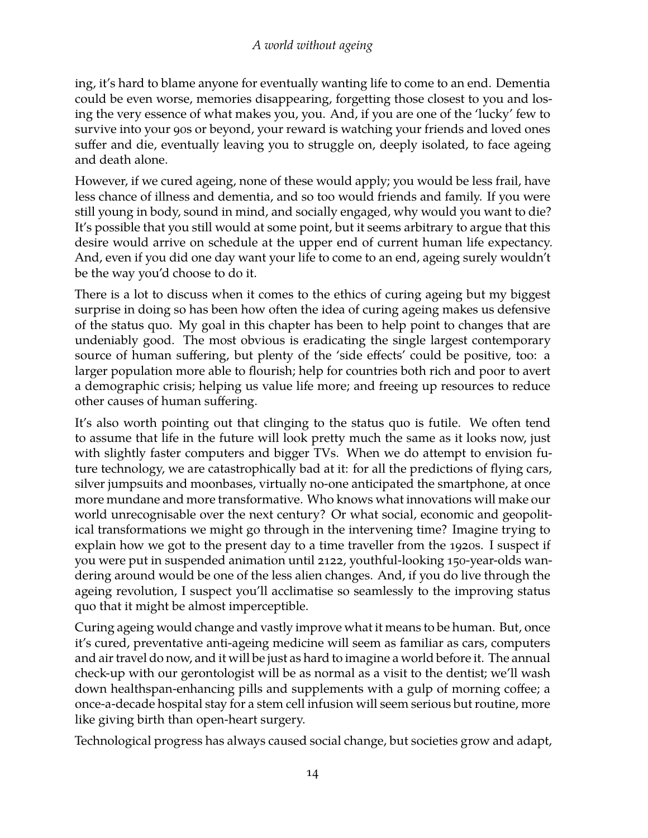ing, it's hard to blame anyone for eventually wanting life to come to an end. Dementia could be even worse, memories disappearing, forgetting those closest to you and losing the very essence of what makes you, you. And, if you are one of the 'lucky' few to survive into your 90s or beyond, your reward is watching your friends and loved ones suffer and die, eventually leaving you to struggle on, deeply isolated, to face ageing and death alone.

However, if we cured ageing, none of these would apply; you would be less frail, have less chance of illness and dementia, and so too would friends and family. If you were still young in body, sound in mind, and socially engaged, why would you want to die? It's possible that you still would at some point, but it seems arbitrary to argue that this desire would arrive on schedule at the upper end of current human life expectancy. And, even if you did one day want your life to come to an end, ageing surely wouldn't be the way you'd choose to do it.

There is a lot to discuss when it comes to the ethics of curing ageing but my biggest surprise in doing so has been how often the idea of curing ageing makes us defensive of the status quo. My goal in this chapter has been to help point to changes that are undeniably good. The most obvious is eradicating the single largest contemporary source of human suffering, but plenty of the 'side effects' could be positive, too: a larger population more able to flourish; help for countries both rich and poor to avert a demographic crisis; helping us value life more; and freeing up resources to reduce other causes of human suffering.

It's also worth pointing out that clinging to the status quo is futile. We often tend to assume that life in the future will look pretty much the same as it looks now, just with slightly faster computers and bigger TVs. When we do attempt to envision future technology, we are catastrophically bad at it: for all the predictions of flying cars, silver jumpsuits and moonbases, virtually no-one anticipated the smartphone, at once more mundane and more transformative. Who knows what innovations will make our world unrecognisable over the next century? Or what social, economic and geopolitical transformations we might go through in the intervening time? Imagine trying to explain how we got to the present day to a time traveller from the 1920s. I suspect if you were put in suspended animation until 2122, youthful-looking 150-year-olds wandering around would be one of the less alien changes. And, if you do live through the ageing revolution, I suspect you'll acclimatise so seamlessly to the improving status quo that it might be almost imperceptible.

Curing ageing would change and vastly improve what it means to be human. But, once it's cured, preventative anti-ageing medicine will seem as familiar as cars, computers and air travel do now, and it will be just as hard to imagine a world before it. The annual check-up with our gerontologist will be as normal as a visit to the dentist; we'll wash down healthspan-enhancing pills and supplements with a gulp of morning coffee; a once-a-decade hospital stay for a stem cell infusion will seem serious but routine, more like giving birth than open-heart surgery.

Technological progress has always caused social change, but societies grow and adapt,